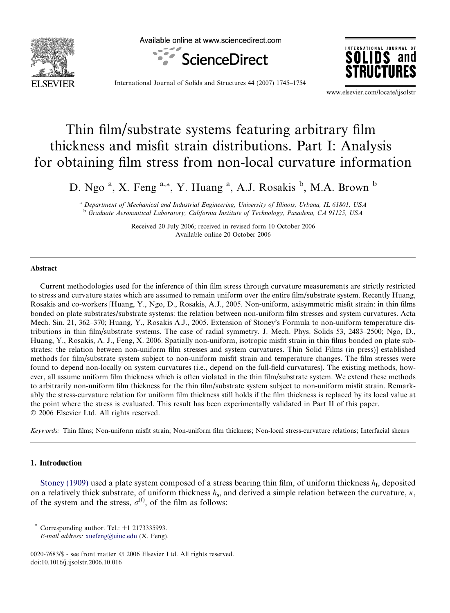

Available online at www.sciencedirect.com





International Journal of Solids and Structures 44 (2007) 1745–1754

www.elsevier.com/locate/ijsolstr

# Thin film/substrate systems featuring arbitrary film thickness and misfit strain distributions. Part I: Analysis for obtaining film stress from non-local curvature information

D. Ngo<sup>a</sup>, X. Feng<sup>a,\*</sup>, Y. Huang<sup>a</sup>, A.J. Rosakis <sup>b</sup>, M.A. Brown <sup>b</sup>

<sup>a</sup> Department of Mechanical and Industrial Engineering, University of Illinois, Urbana, IL 61801, USA <sup>b</sup> Graduate Aeronautical Laboratory, California Institute of Technology, Pasadena, CA 91125, USA

> Received 20 July 2006; received in revised form 10 October 2006 Available online 20 October 2006

# Abstract

Current methodologies used for the inference of thin film stress through curvature measurements are strictly restricted to stress and curvature states which are assumed to remain uniform over the entire film/substrate system. Recently Huang, Rosakis and co-workers [Huang, Y., Ngo, D., Rosakis, A.J., 2005. Non-uniform, axisymmetric misfit strain: in thin films bonded on plate substrates/substrate systems: the relation between non-uniform film stresses and system curvatures. Acta Mech. Sin. 21, 362–370; Huang, Y., Rosakis A.J., 2005. Extension of Stoney's Formula to non-uniform temperature distributions in thin film/substrate systems. The case of radial symmetry. J. Mech. Phys. Solids 53, 2483–2500; Ngo, D., Huang, Y., Rosakis, A. J., Feng, X. 2006. Spatially non-uniform, isotropic misfit strain in thin films bonded on plate substrates: the relation between non-uniform film stresses and system curvatures. Thin Solid Films (in press)] established methods for film/substrate system subject to non-uniform misfit strain and temperature changes. The film stresses were found to depend non-locally on system curvatures (i.e., depend on the full-field curvatures). The existing methods, however, all assume uniform film thickness which is often violated in the thin film/substrate system. We extend these methods to arbitrarily non-uniform film thickness for the thin film/substrate system subject to non-uniform misfit strain. Remarkably the stress-curvature relation for uniform film thickness still holds if the film thickness is replaced by its local value at the point where the stress is evaluated. This result has been experimentally validated in Part II of this paper.  $© 2006 Elsevier Ltd. All rights reserved.$ 

Keywords: Thin films; Non-uniform misfit strain; Non-uniform film thickness; Non-local stress-curvature relations; Interfacial shears

# 1. Introduction

[Stoney \(1909\)](#page-9-0) used a plate system composed of a stress bearing thin film, of uniform thickness  $h_f$ , deposited on a relatively thick substrate, of uniform thickness  $h_s$ , and derived a simple relation between the curvature,  $\kappa$ , of the system and the stress,  $\sigma^{(f)}$ , of the film as follows:

Corresponding author. Tel.:  $+1$  2173335993.

0020-7683/\$ - see front matter © 2006 Elsevier Ltd. All rights reserved. doi:10.1016/j.ijsolstr.2006.10.016

E-mail address: [xuefeng@uiuc.edu](mailto:xuefeng@uiuc.edu) (X. Feng).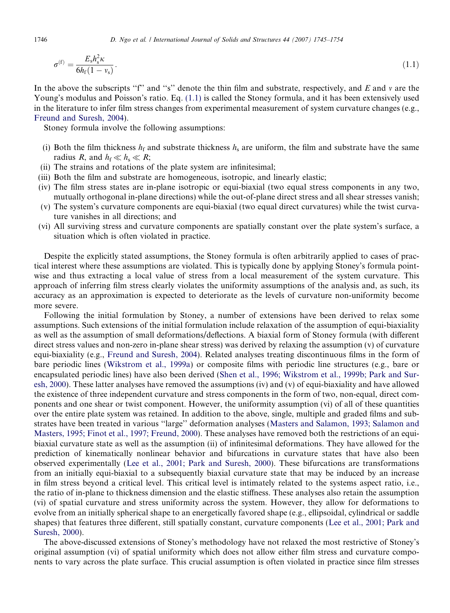$$
\sigma^{(f)} = \frac{E_s h_s^2 \kappa}{6h_f(1 - v_s)}.
$$
\n
$$
(1.1)
$$

In the above the subscripts "f" and "s" denote the thin film and substrate, respectively, and  $E$  and  $\nu$  are the Young's modulus and Poisson's ratio. Eq. (1.1) is called the Stoney formula, and it has been extensively used in the literature to infer film stress changes from experimental measurement of system curvature changes (e.g., [Freund and Suresh, 2004\)](#page-9-0).

Stoney formula involve the following assumptions:

- (i) Both the film thickness  $h_f$  and substrate thickness  $h_s$  are uniform, the film and substrate have the same radius R, and  $h_f \ll h_s \ll R$ ;
- (ii) The strains and rotations of the plate system are infinitesimal;
- (iii) Both the film and substrate are homogeneous, isotropic, and linearly elastic;
- (iv) The film stress states are in-plane isotropic or equi-biaxial (two equal stress components in any two, mutually orthogonal in-plane directions) while the out-of-plane direct stress and all shear stresses vanish;
- (v) The system's curvature components are equi-biaxial (two equal direct curvatures) while the twist curvature vanishes in all directions; and
- (vi) All surviving stress and curvature components are spatially constant over the plate system's surface, a situation which is often violated in practice.

Despite the explicitly stated assumptions, the Stoney formula is often arbitrarily applied to cases of practical interest where these assumptions are violated. This is typically done by applying Stoney's formula pointwise and thus extracting a local value of stress from a local measurement of the system curvature. This approach of inferring film stress clearly violates the uniformity assumptions of the analysis and, as such, its accuracy as an approximation is expected to deteriorate as the levels of curvature non-uniformity become more severe.

Following the initial formulation by Stoney, a number of extensions have been derived to relax some assumptions. Such extensions of the initial formulation include relaxation of the assumption of equi-biaxiality as well as the assumption of small deformations/deflections. A biaxial form of Stoney formula (with different direct stress values and non-zero in-plane shear stress) was derived by relaxing the assumption (v) of curvature equi-biaxiality (e.g., [Freund and Suresh, 2004\)](#page-9-0). Related analyses treating discontinuous films in the form of bare periodic lines (Wikstrom et al., 1999a) or composite films with periodic line structures (e.g., bare or encapsulated periodic lines) have also been derived ([Shen et al., 1996; Wikstrom et al., 1999b; Park and Sur](#page-9-0)[esh, 2000\)](#page-9-0). These latter analyses have removed the assumptions (iv) and (v) of equi-biaxiality and have allowed the existence of three independent curvature and stress components in the form of two, non-equal, direct components and one shear or twist component. However, the uniformity assumption (vi) of all of these quantities over the entire plate system was retained. In addition to the above, single, multiple and graded films and substrates have been treated in various ''large'' deformation analyses ([Masters and Salamon, 1993; Salamon and](#page-9-0) [Masters, 1995; Finot et al., 1997; Freund, 2000](#page-9-0)). These analyses have removed both the restrictions of an equibiaxial curvature state as well as the assumption (ii) of infinitesimal deformations. They have allowed for the prediction of kinematically nonlinear behavior and bifurcations in curvature states that have also been observed experimentally [\(Lee et al., 2001; Park and Suresh, 2000\)](#page-9-0). These bifurcations are transformations from an initially equi-biaxial to a subsequently biaxial curvature state that may be induced by an increase in film stress beyond a critical level. This critical level is intimately related to the systems aspect ratio, i.e., the ratio of in-plane to thickness dimension and the elastic stiffness. These analyses also retain the assumption (vi) of spatial curvature and stress uniformity across the system. However, they allow for deformations to evolve from an initially spherical shape to an energetically favored shape (e.g., ellipsoidal, cylindrical or saddle shapes) that features three different, still spatially constant, curvature components ([Lee et al., 2001; Park and](#page-9-0) [Suresh, 2000\)](#page-9-0).

The above-discussed extensions of Stoney's methodology have not relaxed the most restrictive of Stoney's original assumption (vi) of spatial uniformity which does not allow either film stress and curvature components to vary across the plate surface. This crucial assumption is often violated in practice since film stresses

<span id="page-1-0"></span>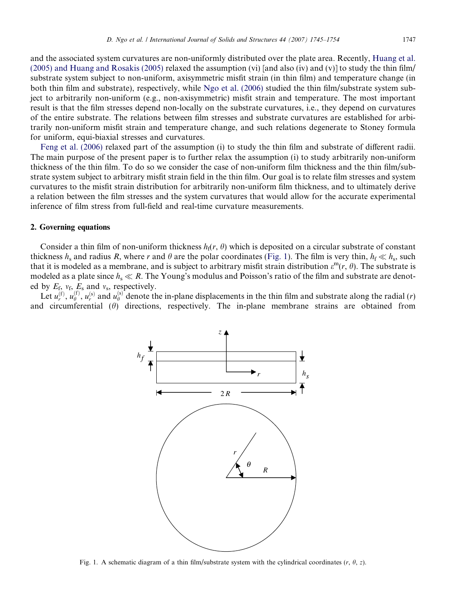and the associated system curvatures are non-uniformly distributed over the plate area. Recently, [Huang et al.](#page-9-0) [\(2005\) and Huang and Rosakis \(2005\)](#page-9-0) relaxed the assumption (vi) [and also (iv) and (v)] to study the thin film/ substrate system subject to non-uniform, axisymmetric misfit strain (in thin film) and temperature change (in both thin film and substrate), respectively, while [Ngo et al. \(2006\)](#page-9-0) studied the thin film/substrate system subject to arbitrarily non-uniform (e.g., non-axisymmetric) misfit strain and temperature. The most important result is that the film stresses depend non-locally on the substrate curvatures, i.e., they depend on curvatures of the entire substrate. The relations between film stresses and substrate curvatures are established for arbitrarily non-uniform misfit strain and temperature change, and such relations degenerate to Stoney formula for uniform, equi-biaxial stresses and curvatures.

[Feng et al. \(2006\)](#page-9-0) relaxed part of the assumption (i) to study the thin film and substrate of different radii. The main purpose of the present paper is to further relax the assumption (i) to study arbitrarily non-uniform thickness of the thin film. To do so we consider the case of non-uniform film thickness and the thin film/substrate system subject to arbitrary misfit strain field in the thin film. Our goal is to relate film stresses and system curvatures to the misfit strain distribution for arbitrarily non-uniform film thickness, and to ultimately derive a relation between the film stresses and the system curvatures that would allow for the accurate experimental inference of film stress from full-field and real-time curvature measurements.

# 2. Governing equations

Consider a thin film of non-uniform thickness  $h_1(r, \theta)$  which is deposited on a circular substrate of constant thickness  $h_s$  and radius R, where r and  $\theta$  are the polar coordinates (Fig. 1). The film is very thin,  $h_f \ll h_s$ , such that it is modeled as a membrane, and is subject to arbitrary misfit strain distribution  $\varepsilon^m(r, \theta)$ . The substrate is modeled as a plate since  $h_s \ll R$ . The Young's modulus and Poisson's ratio of the film and substrate are denoted by  $E_f$ ,  $v_f$ ,  $E_s$  and  $v_s$ , respectively.

Let  $u_r^{(f)}$ ,  $u_\theta^{(f)}$ ,  $u_r^{(s)}$  and  $u_\theta^{(s)}$  denote the in-plane displacements in the thin film and substrate along the radial (*r*) and circumferential  $(\theta)$  directions, respectively. The in-plane membrane strains are obtained from



Fig. 1. A schematic diagram of a thin film/substrate system with the cylindrical coordinates  $(r, \theta, z)$ .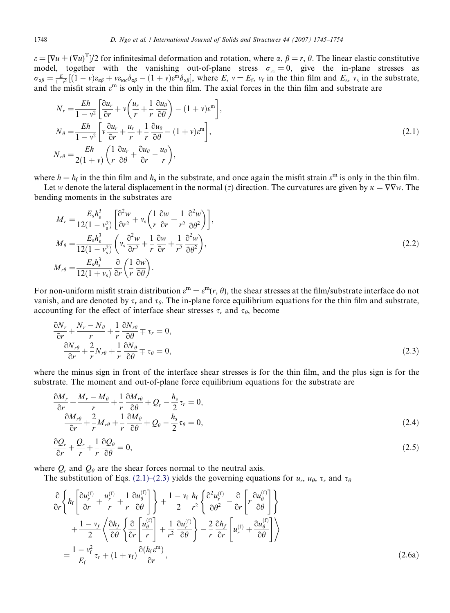<span id="page-3-0"></span> $\varepsilon = [\nabla u + (\nabla u)^T]/2$  for infinitesimal deformation and rotation, where  $\alpha$ ,  $\beta = r$ ,  $\theta$ . The linear elastic constitutive model, together with the vanishing out-of-plane stress  $\sigma_{zz} = 0$ , give the in-plane stresses as  $\sigma_{\alpha\beta} = \frac{E}{1-v^2}[(1-v)\varepsilon_{\alpha\beta} + v\varepsilon_{\kappa\kappa}\delta_{\alpha\beta} - (1+v)\varepsilon^m\delta_{\alpha\beta}],$  where E,  $v = E_f$ ,  $v_f$  in the thin film and  $E_s$ ,  $v_s$  in the substrate, and the misfit strain  $\varepsilon^m$  is only in the thin film. The axial forces in the thin film and substrate are

$$
N_r = \frac{Eh}{1 - v^2} \left[ \frac{\partial u_r}{\partial r} + v \left( \frac{u_r}{r} + \frac{1}{r} \frac{\partial u_\theta}{\partial \theta} \right) - (1 + v)\varepsilon^m \right],
$$
  
\n
$$
N_\theta = \frac{Eh}{1 - v^2} \left[ v \frac{\partial u_r}{\partial r} + \frac{u_r}{r} + \frac{1}{r} \frac{\partial u_\theta}{\partial \theta} - (1 + v)\varepsilon^m \right],
$$
  
\n
$$
N_{r\theta} = \frac{Eh}{2(1 + v)} \left( \frac{1}{r} \frac{\partial u_r}{\partial \theta} + \frac{\partial u_\theta}{\partial r} - \frac{u_\theta}{r} \right),
$$
\n(2.1)

where  $h = h_f$  in the thin film and  $h_s$  in the substrate, and once again the misfit strain  $\varepsilon^m$  is only in the thin film.

Let w denote the lateral displacement in the normal (z) direction. The curvatures are given by  $\kappa = \nabla \nabla w$ . The bending moments in the substrates are

$$
M_r = \frac{E_s h_s^3}{12(1 - v_s^2)} \left[ \frac{\partial^2 w}{\partial r^2} + v_s \left( \frac{1}{r} \frac{\partial w}{\partial r} + \frac{1}{r^2} \frac{\partial^2 w}{\partial \theta^2} \right) \right],
$$
  
\n
$$
M_\theta = \frac{E_s h_s^3}{12(1 - v_s^2)} \left( v_s \frac{\partial^2 w}{\partial r^2} + \frac{1}{r} \frac{\partial w}{\partial r} + \frac{1}{r^2} \frac{\partial^2 w}{\partial \theta^2} \right),
$$
  
\n
$$
M_{r\theta} = \frac{E_s h_s^3}{12(1 + v_s)} \frac{\partial}{\partial r} \left( \frac{1}{r} \frac{\partial w}{\partial \theta} \right).
$$
\n(2.2)

For non-uniform misfit strain distribution  $\varepsilon^m = \varepsilon^m(r, \theta)$ , the shear stresses at the film/substrate interface do not vanish, and are denoted by  $\tau_r$  and  $\tau_\theta$ . The in-plane force equilibrium equations for the thin film and substrate, accounting for the effect of interface shear stresses  $\tau_r$  and  $\tau_\theta$ , become

$$
\frac{\partial N_r}{\partial r} + \frac{N_r - N_\theta}{r} + \frac{1}{r} \frac{\partial N_{r\theta}}{\partial \theta} \mp \tau_r = 0, \n\frac{\partial N_{r\theta}}{\partial r} + \frac{2}{r} N_{r\theta} + \frac{1}{r} \frac{\partial N_\theta}{\partial \theta} \mp \tau_\theta = 0,
$$
\n(2.3)

where the minus sign in front of the interface shear stresses is for the thin film, and the plus sign is for the substrate. The moment and out-of-plane force equilibrium equations for the substrate are

$$
\frac{\partial M_r}{\partial r} + \frac{M_r - M_\theta}{r} + \frac{1}{r} \frac{\partial M_{r\theta}}{\partial \theta} + Q_r - \frac{h_s}{2} \tau_r = 0, \n\frac{\partial M_{r\theta}}{\partial r} + \frac{2}{r} M_{r\theta} + \frac{1}{r} \frac{\partial M_\theta}{\partial \theta} + Q_\theta - \frac{h_s}{2} \tau_\theta = 0,
$$
\n(2.4)

$$
\frac{\partial Q_r}{\partial r} + \frac{Q_r}{r} + \frac{1}{r} \frac{\partial Q_\theta}{\partial \theta} = 0,\tag{2.5}
$$

where  $Q_r$  and  $Q_\theta$  are the shear forces normal to the neutral axis.

The substitution of Eqs. (2.1)–(2.3) yields the governing equations for  $u_r$ ,  $u_\theta$ ,  $\tau_r$  and  $\tau_\theta$ 

$$
\frac{\partial}{\partial r} \left\{ h_f \left[ \frac{\partial u_r^{(f)}}{\partial r} + \frac{u_r^{(f)}}{r} + \frac{1}{r} \frac{\partial u_\theta^{(f)}}{\partial \theta} \right] \right\} + \frac{1 - v_f}{2} \frac{h_f}{r^2} \left\{ \frac{\partial^2 u_r^{(f)}}{\partial \theta^2} - \frac{\partial}{\partial r} \left[ r \frac{\partial u_\theta^{(f)}}{\partial \theta} \right] \right\} \n+ \frac{1 - v_f}{2} \left\langle \frac{\partial h_f}{\partial \theta} \left\{ \frac{\partial}{\partial r} \left[ \frac{u_\theta^{(f)}}{r} \right] + \frac{1}{r^2} \frac{\partial u_r^{(f)}}{\partial \theta} \right\} - \frac{2}{r} \frac{\partial h_f}{\partial r} \left[ u_r^{(f)} + \frac{\partial u_\theta^{(f)}}{\partial \theta} \right] \right\rangle \n= \frac{1 - v_f^2}{E_f} \tau_r + (1 + v_f) \frac{\partial (h_f \varepsilon^m)}{\partial r},
$$
\n(2.6a)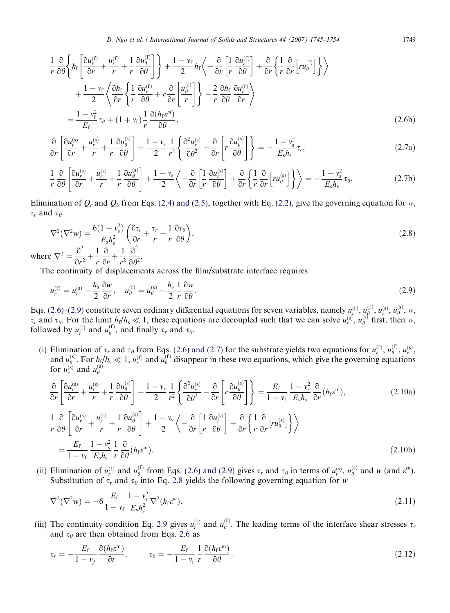D. Ngo et al. / International Journal of Solids and Structures 44 (2007) 1745-1754 1749

<span id="page-4-0"></span>
$$
\frac{1}{r} \frac{\partial}{\partial \theta} \left\{ h_f \left[ \frac{\partial u_r^{(f)}}{\partial r} + \frac{u_r^{(f)}}{r} + \frac{1}{r} \frac{\partial u_\theta^{(f)}}{\partial \theta} \right] \right\} + \frac{1 - v_f}{2} h_f \left\{ - \frac{\partial}{\partial r} \left[ \frac{1}{r} \frac{\partial u_r^{(f)}}{\partial \theta} \right] + \frac{\partial}{\partial r} \left\{ \frac{1}{r} \frac{\partial}{\partial r} \left[ r u_\theta^{(f)} \right] \right\} \right\} \n+ \frac{1 - v_f}{2} \left\{ \frac{\partial h_f}{\partial r} \left\{ \frac{1}{r} \frac{\partial u_r^{(f)}}{\partial \theta} + r \frac{\partial}{\partial r} \left[ \frac{u_\theta^{(f)}}{r} \right] \right\} - \frac{2}{r} \frac{\partial h_f}{\partial \theta} \frac{\partial u_r^{(f)}}{\partial r} \right\} \n= \frac{1 - v_f^2}{E_f} \tau_\theta + (1 + v_f) \frac{1}{r} \frac{\partial (h_f e^m)}{\partial \theta},
$$
\n(2.6b)

$$
\frac{\partial}{\partial r} \left[ \frac{\partial u_r^{(s)}}{\partial r} + \frac{u_r^{(s)}}{r} + \frac{1}{r} \frac{\partial u_\theta^{(s)}}{\partial \theta} \right] + \frac{1 - v_s}{2} \frac{1}{r^2} \left\{ \frac{\partial^2 u_r^{(s)}}{\partial \theta^2} - \frac{\partial}{\partial r} \left[ r \frac{\partial u_\theta^{(s)}}{\partial \theta} \right] \right\} = -\frac{1 - v_s^2}{E_s h_s} \tau_r,
$$
\n(2.7a)

$$
\frac{1}{r}\frac{\partial}{\partial\theta}\left[\frac{\partial u_r^{(s)}}{\partial r} + \frac{u_r^{(s)}}{r} + \frac{1}{r}\frac{\partial u_\theta^{(s)}}{\partial\theta}\right] + \frac{1 - v_s}{2} \left\langle -\frac{\partial}{\partial r}\left[\frac{1}{r}\frac{\partial u_r^{(s)}}{\partial\theta}\right] + \frac{\partial}{\partial r}\left\{ \frac{1}{r}\frac{\partial}{\partial r}\left[ru_\theta^{(s)}\right] \right\} \right\rangle = -\frac{1 - v_s^2}{E_s h_s} \tau_\theta.
$$
\n(2.7b)

Elimination of  $Q_r$  and  $Q_\theta$  from Eqs. [\(2.4\) and \(2.5\),](#page-3-0) together with Eq. [\(2.2\),](#page-3-0) give the governing equation for w,  $\tau_r$  and  $\tau_\theta$ 

$$
\nabla^2(\nabla^2 w) = \frac{6(1 - v_s^2)}{E_s h_s^2} \left( \frac{\partial \tau_r}{\partial r} + \frac{\tau_r}{r} + \frac{1}{r} \frac{\partial \tau_\theta}{\partial \theta} \right),
$$
\n
$$
e \nabla^2 = \frac{\partial^2}{\partial r^2} + \frac{1}{r} \frac{\partial^2}{\partial r^2} + \frac{1}{r^2} \frac{\partial^2}{\partial r^2}.
$$
\n(2.8)

wher  $\partial r^2$  $\frac{1}{r}\frac{\partial}{\partial r} + \frac{1}{r^2}\frac{\partial}{\partial \theta^2}$ .

The continuity of displacements across the film/substrate interface requires

$$
u_r^{(\text{f})} = u_r^{(\text{s})} - \frac{h_\text{s}}{2} \frac{\partial w}{\partial r}, \quad u_\theta^{(\text{f})} = u_\theta^{(\text{s})} - \frac{h_\text{s}}{2} \frac{1}{r} \frac{\partial w}{\partial \theta}.
$$

Eqs. [\(2.6\)–\(2.9\)](#page-3-0) constitute seven ordinary differential equations for seven variables, namely  $u_r^{(f)}$ ,  $u_\theta^{(f)}$ ,  $u_r^{(s)}$ ,  $u_s^{(s)}$ ,  $w_s$  $\tau_r$  and  $\tau_\theta$ . For the limit  $h_f/h_s \ll 1$ , these equations are decoupled such that we can solve  $u_r^{(s)}$ ,  $u_\theta^{(s)}$  first, then w, followed by  $u_r^{(f)}$  and  $u_\theta^{(f)}$ , and finally  $\tau_r$  and  $\tau_\theta$ .

(i) Elimination of  $\tau_r$  and  $\tau_\theta$  from Eqs. [\(2.6\) and \(2.7\)](#page-3-0) for the substrate yields two equations for  $u_r^{(f)}$ ,  $u_\theta^{(f)}$ ,  $u_r^{(s)}$ , and  $u_{\theta}^{(s)}$ . For  $h_{\theta}/h_s \ll 1$ ,  $u_r^{(f)}$  and  $u_{\theta}^{(f)}$  disappear in these two equations, which give the governing equations for  $u_r^{(s)}$  and  $u_\theta^{(s)}$ 

$$
\frac{\partial}{\partial r} \left[ \frac{\partial u_r^{(s)}}{\partial r} + \frac{u_r^{(s)}}{r} + \frac{1}{r} \frac{\partial u_\theta^{(s)}}{\partial \theta} \right] + \frac{1 - v_s}{2} \frac{1}{r^2} \left\{ \frac{\partial^2 u_r^{(s)}}{\partial \theta^2} - \frac{\partial}{\partial r} \left[ r \frac{\partial u_\theta^{(s)}}{\partial \theta} \right] \right\} = \frac{E_f}{1 - v_f} \frac{1 - v_s^2}{E_s h_s} \frac{\partial}{\partial r} (h_f \varepsilon^m),
$$
\n(2.10a)\n
$$
\frac{1}{r} \frac{\partial}{\partial \theta} \left[ \frac{\partial u_r^{(s)}}{\partial r} + \frac{u_r^{(s)}}{r} + \frac{1}{r} \frac{\partial u_\theta^{(s)}}{\partial \theta} \right] + \frac{1 - v_s}{2} \left\langle - \frac{\partial}{\partial r} \left[ \frac{1}{r} \frac{\partial u_r^{(s)}}{\partial \theta} \right] + \frac{\partial}{\partial r} \left\{ \frac{1}{r} \frac{\partial}{\partial r} [r u_\theta^{(s)}] \right\} \right\rangle
$$
\n
$$
= \frac{E_f}{1 - v_f} \frac{1 - v_s^2}{E_s h_s} \frac{1}{r} \frac{\partial}{\partial \theta} (h_f \varepsilon^m).
$$
\n(2.10b)

(ii) Elimination of  $u_r^{(f)}$  and  $u_\theta^{(f)}$  from Eqs. [\(2.6\) and \(2.9\)](#page-3-0) gives  $\tau_r$  and  $\tau_\theta$  in terms of  $u_r^{(s)}$ ,  $u_\theta^{(s)}$  and w (and  $\varepsilon^m$ ). Substitution of  $\tau_r$  and  $\tau_\theta$  into Eq. 2.8 yields the following governing equation for w

$$
\nabla^2(\nabla^2 w) = -6 \frac{E_{\rm f}}{1 - v_{\rm f}} \frac{1 - v_{\rm s}^2}{E_{\rm s} h_{\rm s}^2} \nabla^2 (h_{\rm f} \varepsilon^m). \tag{2.11}
$$

(iii) The continuity condition Eq. 2.9 gives  $u_r^{(f)}$  and  $u_\theta^{(f)}$ . The leading terms of the interface shear stresses  $\tau$ , and  $\tau_{\theta}$  are then obtained from Eqs. [2.6](#page-3-0) as

$$
\tau_r = -\frac{E_f}{1 - v_f} \frac{\partial (h_f e^m)}{\partial r}, \qquad \tau_\theta = -\frac{E_f}{1 - v_f} \frac{1}{r} \frac{\partial (h_f e^m)}{\partial \theta}.
$$
\n(2.12)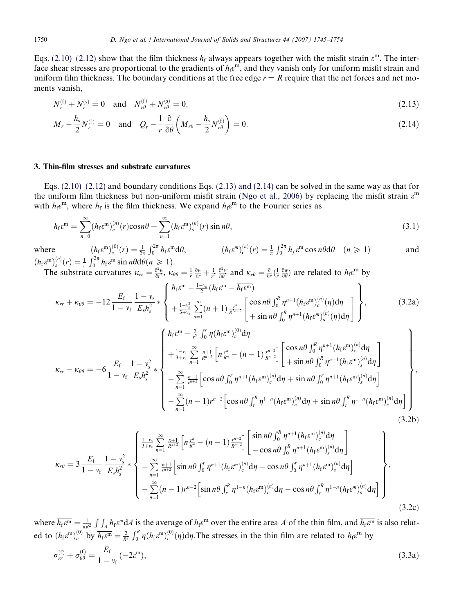<span id="page-5-0"></span>Eqs. [\(2.10\)–\(2.12\)](#page-4-0) show that the film thickness  $h_f$  always appears together with the misfit strain  $\varepsilon^m$ . The interface shear stresses are proportional to the gradients of  $h_f e^m$ , and they vanish only for uniform misfit strain and uniform film thickness. The boundary conditions at the free edge  $r = R$  require that the net forces and net moments vanish,

$$
N_r^{(\text{f})} + N_r^{(\text{s})} = 0 \quad \text{and} \quad N_{r\theta}^{(\text{f})} + N_{r\theta}^{(\text{s})} = 0,\tag{2.13}
$$

$$
M_r - \frac{h_s}{2} N_r^{(\text{f})} = 0 \quad \text{and} \quad Q_r - \frac{1}{r} \frac{\partial}{\partial \theta} \left( M_{r\theta} - \frac{h_s}{2} N_{r\theta}^{(\text{f})} \right) = 0. \tag{2.14}
$$

# 3. Thin-film stresses and substrate curvatures

Eqs.  $(2.10)$ – $(2.12)$  and boundary conditions Eqs.  $(2.13)$  and  $(2.14)$  can be solved in the same way as that for the uniform film thickness but non-uniform misfit strain [\(Ngo et al., 2006](#page-9-0)) by replacing the misfit strain  $\varepsilon^m$ with  $h_f \varepsilon^m$ , where  $h_f$  is the film thickness. We expand  $h_f \varepsilon^m$  to the Fourier series as

$$
h_f \varepsilon^{\mathbf{m}} = \sum_{n=0}^{\infty} (h_f \varepsilon^{\mathbf{m}})_c^{(n)}(r) \cos n\theta + \sum_{n=1}^{\infty} (h_f \varepsilon^{\mathbf{m}})_s^{(n)}(r) \sin n\theta,
$$
\n(3.1)

where  $(h_f \varepsilon^m)_c^{(0)}(r) = \frac{1}{2\pi}$  $\int_0^{2\pi} h_f \varepsilon^m d\theta, \qquad (h_f \varepsilon^m)_c^{(n)}(r) = \frac{1}{\pi}$  $\int_0^{2\pi} h_f \varepsilon^m \cos n\theta d\theta \quad (n \ge 1)$  and  $(h_f\varepsilon^m)_s^{(n)}(r) = \frac{1}{\pi}$  $\int_0^{2\pi} h_f \varepsilon^m \sin n\theta d\theta (n \geq 1).$ 

The substrate curvatures  $\kappa_{rr} = \frac{\partial^2 w}{\partial r^2}$ ,  $\kappa_{\theta\theta} = \frac{1}{r} \frac{\partial w}{\partial r} + \frac{1}{r^2} \frac{\partial^2 w}{\partial \theta^2}$  and  $\kappa_{r\theta} = \frac{\partial}{\partial r} (\frac{1}{r} \frac{\partial w}{\partial \theta})$  are related to  $h_{f\theta}$ <sup>em</sup> by

$$
\kappa_{rr} + \kappa_{\theta\theta} = -12 \frac{E_{\rm f}}{1 - v_{\rm f}} \frac{1 - v_{\rm s}}{E_{\rm s}h_{\rm s}^2} \times \begin{Bmatrix} h_{\rm f} \varepsilon^{\rm m} - \frac{1 - v_{\rm s}}{2} (h_{\rm f} \varepsilon^{\rm m} - \overline{h_{\rm f}} \varepsilon^{\rm m}) \\ + \frac{1 - v_{\rm s}^2}{3 + v_{\rm s}} \sum_{n=1}^{\infty} (n+1) \frac{r^n}{R^{2n+2}} \begin{bmatrix} \cos n\theta \int_0^R \eta^{n+1} (h_{\rm f} \varepsilon^{\rm m})_c^{(n)}(\eta) d\eta \\ + \sin n\theta \int_0^R \eta^{n+1} (h_{\rm f} \varepsilon^{\rm m})_s^{(n)}(\eta) d\eta \end{bmatrix} \end{Bmatrix},
$$
(3.2a)  

$$
\left\{ h_{\rm f} \varepsilon^{\rm m} - \frac{2}{r^2} \int_0^r \eta (h_{\rm f} \varepsilon^{\rm m})_c^{(0)} d\eta \right\}
$$

$$
\kappa_{rr} - \kappa_{\theta\theta} = -6 \frac{E_{\rm f}}{1 - v_{\rm f}} \frac{1 - v_{\rm s}^2}{E_{\rm s} h_{\rm s}^2} \times \begin{Bmatrix} h_{\rm f} \epsilon^{\rm m} - \frac{z}{r^2} \int_0^{\infty} \eta (h_{\rm f} \epsilon^{\rm m})_c^{(r)} d\eta \\ + \frac{1 - v_{\rm s}}{3 + v_{\rm s}} \sum_{n=1}^{\infty} \frac{n+1}{R^{n+2}} \left[ n \frac{r^n}{R^n} - (n-1) \frac{r^{n-2}}{R^{n-2}} \right] \left[ \frac{\cos n\theta \int_0^R \eta^{n+1} (h_{\rm f} \epsilon^{\rm m})_c^{(n)} d\eta}{+ \sin n\theta \int_0^R \eta^{n+1} (h_{\rm f} \epsilon^{\rm m})_s^{(n)} d\eta} \right] \\ - \sum_{n=1}^{\infty} \frac{n+1}{r^{n+2}} \left[ \cos n\theta \int_0^r \eta^{n+1} (h_{\rm f} \epsilon^{\rm m})_c^{(n)} d\eta + \sin n\theta \int_0^r \eta^{n+1} (h_{\rm f} \epsilon^{\rm m})_s^{(n)} d\eta \right] \\ - \sum_{n=1}^{\infty} (n-1) r^{n-2} \left[ \cos n\theta \int_r^R \eta^{1-n} (h_{\rm f} \epsilon^{\rm m})_c^{(n)} d\eta + \sin n\theta \int_r^R \eta^{1-n} (h_{\rm f} \epsilon^{\rm m})_s^{(n)} d\eta \right] \end{Bmatrix}, \tag{3.2b}
$$

$$
\kappa_{r\theta} = 3 \frac{E_{\rm f}}{1 - v_{\rm f}} \frac{1 - v_{\rm s}^2}{E_{\rm s} h_{\rm s}^2} \times \begin{Bmatrix} \frac{1 - v_{\rm s}}{3 + v_{\rm s}} \sum_{n=1}^{\infty} \frac{x+1}{R^{n+2}} \left[ n \frac{r^n}{R^n} - (n-1) \frac{r^{n-2}}{R^{n-2}} \right] \left[ \frac{\sin n\theta \int_0^R \eta^{n+1} (h_{\rm f} \varepsilon^{\rm m})_c^{(n)} d\eta}{-\cos n\theta \int_0^R \eta^{n+1} (h_{\rm f} \varepsilon^{\rm m})_s^{(n)} d\eta} \right] \\ + \sum_{n=1}^{\infty} \frac{n+1}{r^{n+2}} \left[ \sin n\theta \int_0^r \eta^{n+1} (h_{\rm f} \varepsilon^{\rm m})_c^{(n)} d\eta - \cos n\theta \int_0^r \eta^{n+1} (h_{\rm f} \varepsilon^{\rm m})_s^{(n)} d\eta \right] \\ - \sum_{n=1}^{\infty} (n-1) r^{n-2} \left[ \sin n\theta \int_r^R \eta^{1-n} (h_{\rm f} \varepsilon^{\rm m})_c^{(n)} d\eta - \cos n\theta \int_r^R \eta^{1-n} (h_{\rm f} \varepsilon^{\rm m})_s^{(n)} d\eta \right] \end{Bmatrix}, \qquad (3.2c)
$$

where  $\overline{h_f \varepsilon^m} = \frac{1}{\pi R^2}$  $\int \int_A h_f \varepsilon^m dA$  is the average of  $h_f \varepsilon^m$  over the entire area A of the thin film, and  $\overline{h_f \varepsilon^m}$  is also related to  $(h_f \varepsilon^m)_c^{(0)}$  by  $\overline{h_f \varepsilon^m} = \frac{2}{R^2}$  $\int_0^R \eta(h_f \varepsilon^m)_c^{(0)}(\eta) d\eta$ . The stresses in the thin film are related to  $h_f \varepsilon^m$  by

$$
\sigma_{rr}^{(\rm f)} + \sigma_{\theta\theta}^{(\rm f)} = \frac{E_{\rm f}}{1 - v_{\rm f}} (-2\varepsilon^{\rm m}),\tag{3.3a}
$$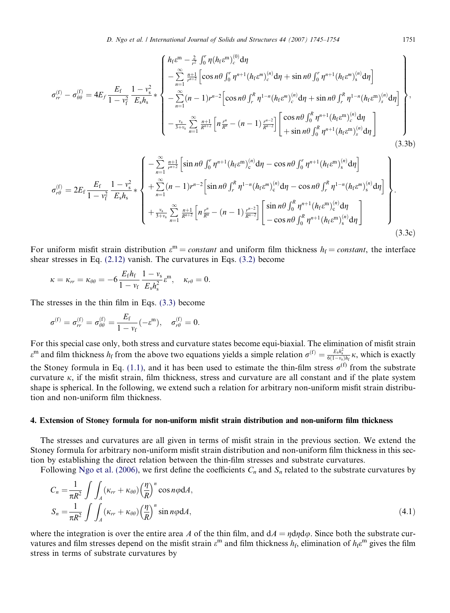<span id="page-6-0"></span>
$$
\sigma_{rr}^{(\rm f)} - \sigma_{\theta\theta}^{(\rm f)} = 4E_f \frac{E_{\rm f}}{1 - v_{\rm f}^2} \frac{1 - v_{\rm s}^2}{E_{\rm s}h_{\rm s}} * \begin{Bmatrix} h_{\rm f}\epsilon^{\rm m} - \frac{2}{r^2} \int_0^r \eta (h_{\rm f}\epsilon^{\rm m})_c^{(0)} d\eta \\ - \sum_{n=1}^{\infty} \frac{n+1}{r^{n+2}} \left[ \cos n\theta \int_0^r \eta^{n+1} (h_{\rm f}\epsilon^{\rm m})_c^{(n)} d\eta + \sin n\theta \int_0^r \eta^{n+1} (h_{\rm f}\epsilon^{\rm m})_s^{(n)} d\eta \right] \\ - \sum_{n=1}^{\infty} (n-1)r^{n-2} \left[ \cos n\theta \int_r^R \eta^{1-n} (h_{\rm f}\epsilon^{\rm m})_c^{(n)} d\eta + \sin n\theta \int_r^R \eta^{1-n} (h_{\rm f}\epsilon^{\rm m})_s^{(n)} d\eta \right] \\ - \frac{v_{\rm s}}{3+v_{\rm s}} \sum_{n=1}^{\infty} \frac{n+1}{R^{n+2}} \left[ n\frac{r^n}{R^n} - (n-1)\frac{r^{n-2}}{R^{n-2}} \right] \left[ \frac{\cos n\theta \int_0^R \eta^{n+1} (h_{\rm f}\epsilon^{\rm m})_c^{(n)} d\eta}{+ \sin n\theta \int_0^R \eta^{n+1} (h_{\rm f}\epsilon^{\rm m})_s^{(n)} d\eta} \right] \end{Bmatrix}, \tag{3.3b}
$$

$$
\sigma_{r\theta}^{(\rm f)} = 2E_{\rm f} \frac{E_{\rm f}}{1 - v_{\rm f}^2} \frac{1 - v_{\rm s}^2}{E_{\rm s}h_{\rm s}} * \begin{cases}\n-\sum_{n=1}^{\infty} \frac{n+1}{r^{n+2}} \left[ \sin n\theta \int_0^r \eta^{n+1} (h_{\rm f} \varepsilon^{\rm m})_{\rm c}^{(n)} d\eta - \cos n\theta \int_0^r \eta^{n+1} (h_{\rm f} \varepsilon^{\rm m})_{\rm s}^{(n)} d\eta \right] \\
+\sum_{n=1}^{\infty} (n-1) r^{n-2} \left[ \sin n\theta \int_r^R \eta^{1-n} (h_{\rm f} \varepsilon^{\rm m})_{\rm c}^{(n)} d\eta - \cos n\theta \int_r^R \eta^{1-n} (h_{\rm f} \varepsilon^{\rm m})_{\rm s}^{(n)} d\eta \right] \\
+\frac{v_{\rm s}}{3 + v_{\rm s}} \sum_{n=1}^{\infty} \frac{n+1}{R^{n+2}} \left[ n \frac{r^n}{R^n} - (n-1) \frac{r^{n-2}}{R^{n-2}} \right] \left[ \frac{\sin n\theta \int_0^R \eta^{n+1} (h_{\rm f} \varepsilon^{\rm m})_{\rm c}^{(n)} d\eta}{-\cos n\theta \int_0^R \eta^{n+1} (h_{\rm f} \varepsilon^{\rm m})_{\rm s}^{(n)} d\eta} \right]\n\end{cases} \tag{3.3c}
$$

For uniform misfit strain distribution  $\varepsilon^m = constant$  and uniform film thickness  $h_f = constant$ , the interface shear stresses in Eq. [\(2.12\)](#page-4-0) vanish. The curvatures in Eqs. [\(3.2\)](#page-5-0) become

$$
\kappa = \kappa_{rr} = \kappa_{\theta\theta} = -6\frac{E_f h_f}{1 - v_f}\frac{1 - v_s}{E_s h_s^2} \varepsilon^m, \quad \kappa_{r\theta} = 0.
$$

The stresses in the thin film in Eqs. [\(3.3\)](#page-5-0) become

$$
\sigma^{(f)}=\sigma_{rr}^{(f)}=\sigma_{\theta\theta}^{(f)}=\frac{E_f}{1-\nu_f}(-\varepsilon^m),\quad \sigma_{r\theta}^{(f)}=0.
$$

For this special case only, both stress and curvature states become equi-biaxial. The elimination of misfit strain  $\varepsilon^{\text{m}}$  and film thickness  $h_{\text{f}}$  from the above two equations yields a simple relation  $\sigma^{(\text{f})} = \frac{E_s h_s^2}{6(1 - v_s) h_{\text{f}}} \kappa$ , which is exactly the Stoney formula in Eq. [\(1.1\)](#page-1-0), and it has been used to estimate the thin-film stress  $\sigma^{(f)}$  from the substrate curvature  $\kappa$ , if the misfit strain, film thickness, stress and curvature are all constant and if the plate system shape is spherical. In the following, we extend such a relation for arbitrary non-uniform misfit strain distribution and non-uniform film thickness.

#### 4. Extension of Stoney formula for non-uniform misfit strain distribution and non-uniform film thickness

The stresses and curvatures are all given in terms of misfit strain in the previous section. We extend the Stoney formula for arbitrary non-uniform misfit strain distribution and non-uniform film thickness in this section by establishing the direct relation between the thin-film stresses and substrate curvatures.

Following [Ngo et al. \(2006\),](#page-9-0) we first define the coefficients  $C_n$  and  $S_n$  related to the substrate curvatures by

$$
C_n = \frac{1}{\pi R^2} \int \int_A (\kappa_{rr} + \kappa_{\theta\theta}) \left(\frac{\eta}{R}\right)^n \cos n\varphi dA,
$$
  
\n
$$
S_n = \frac{1}{\pi R^2} \int \int_A (\kappa_{rr} + \kappa_{\theta\theta}) \left(\frac{\eta}{R}\right)^n \sin n\varphi dA,
$$
\n(4.1)

where the integration is over the entire area A of the thin film, and  $dA = \eta d\eta d\varphi$ . Since both the substrate curvatures and film stresses depend on the misfit strain  $\varepsilon^m$  and film thickness  $h_f$ , elimination of  $h_f\varepsilon^m$  gives the film stress in terms of substrate curvatures by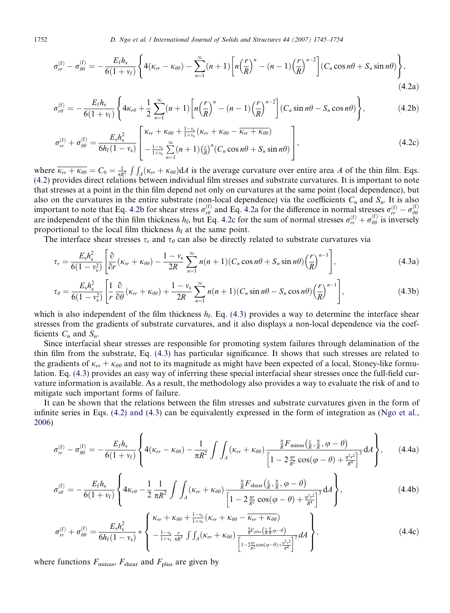1752 D. Ngo et al. / International Journal of Solids and Structures 44 (2007) 1745–1754

$$
\sigma_{rr}^{(\rm f)}-\sigma_{\theta\theta}^{(\rm f)}=-\frac{E_{\rm f}h_{\rm s}}{6(1+v_{\rm f})}\Bigg\{4(\kappa_{rr}-\kappa_{\theta\theta})-\sum_{n=1}^{\infty}(n+1)\bigg[n\bigg(\frac{r}{R}\bigg)^n-(n-1)\bigg(\frac{r}{R}\bigg)^{n-2}\bigg](C_n\cos n\theta+S_n\sin n\theta)\Bigg\},\tag{4.2a}
$$

$$
\sigma_{r\theta}^{(f)} = -\frac{E_{f}h_{s}}{6(1+v_{f})}\left\{4\kappa_{r\theta} + \frac{1}{2}\sum_{n=1}^{\infty}(n+1)\left[n\left(\frac{r}{R}\right)^{n} - (n-1)\left(\frac{r}{R}\right)^{n-2}\right](C_{n}\sin n\theta - S_{n}\cos n\theta)\right\},
$$
\n(4.2b)

$$
\sigma_{rr}^{(\rm f)} + \sigma_{\theta\theta}^{(\rm f)} = \frac{E_{\rm s}h_{\rm s}^2}{6h_{\rm f}(1-v_{\rm s})} \left[ \frac{\kappa_{rr} + \kappa_{\theta\theta} + \frac{1-v_{\rm s}}{1+v_{\rm s}}(\kappa_{rr} + \kappa_{\theta\theta} - \overline{\kappa_{rr} + \kappa_{\theta\theta}})}{\frac{1-v_{\rm s}}{1+v_{\rm s}}\sum_{n=1}^{\infty}(n+1)\left(\frac{r}{R}\right)^n(C_n\cos n\theta + S_n\sin n\theta)} \right],
$$
\n(4.2c)

where  $\overline{\kappa_{rr} + \kappa_{\theta\theta}} = C_0 = \frac{1}{\pi R^2}$  $\int \int_A (\kappa_{rr} + \kappa_{\theta\theta}) dA$  is the average curvature over entire area A of the thin film. Eqs. [\(4.2\)](#page-6-0) provides direct relations between individual film stresses and substrate curvatures. It is important to note that stresses at a point in the thin film depend not only on curvatures at the same point (local dependence), but also on the curvatures in the entire substrate (non-local dependence) via the coefficients  $C_n$  and  $S_n$ . It is also important to note that Eq. 4.2b for shear stress  $\sigma_{r\theta}^{(f)}$  and Eq. [4.2a](#page-6-0) for the difference in normal stresses  $\sigma_{rr}^{(f)} - \sigma_{\theta\theta}^{(f)}$ are independent of the thin film thickness  $h_f$ , but Eq. 4.2c for the sum of normal stresses  $\sigma_{rr}^{(f)} + \sigma_{\theta\theta}^{(f)}$  is inversely proportional to the local film thickness  $h_f$  at the same point.

The interface shear stresses  $\tau_r$  and  $\tau_\theta$  can also be directly related to substrate curvatures via

$$
\tau_r = \frac{E_s h_s^2}{6(1 - v_s^2)} \left[ \frac{\partial}{\partial r} (\kappa_{rr} + \kappa_{\theta\theta}) - \frac{1 - v_s}{2R} \sum_{n=1}^{\infty} n(n+1) (C_n \cos n\theta + S_n \sin n\theta) \left(\frac{r}{R}\right)^{n-1} \right],
$$
(4.3a)

$$
\tau_{\theta} = \frac{E_{s}h_{s}^{2}}{6(1 - v_{s}^{2})} \left[ \frac{1}{r} \frac{\partial}{\partial \theta} (\kappa_{rr} + \kappa_{\theta\theta}) + \frac{1 - v_{s}}{2R} \sum_{n=1}^{\infty} n(n+1) (C_{n} \sin n\theta - S_{n} \cos n\theta) \left(\frac{r}{R}\right)^{n-1} \right],
$$
(4.3b)

which is also independent of the film thickness  $h_f$ . Eq. (4.3) provides a way to determine the interface shear stresses from the gradients of substrate curvatures, and it also displays a non-local dependence via the coefficients  $C_n$  and  $S_n$ .

Since interfacial shear stresses are responsible for promoting system failures through delamination of the thin film from the substrate, Eq. (4.3) has particular significance. It shows that such stresses are related to the gradients of  $\kappa_{rr} + \kappa_{\theta\theta}$  and not to its magnitude as might have been expected of a local, Stoney-like formulation. Eq. (4.3) provides an easy way of inferring these special interfacial shear stresses once the full-field curvature information is available. As a result, the methodology also provides a way to evaluate the risk of and to mitigate such important forms of failure.

It can be shown that the relations between the film stresses and substrate curvatures given in the form of infinite series in Eqs. [\(4.2\) and \(4.3\)](#page-6-0) can be equivalently expressed in the form of integration as [\(Ngo et al.,](#page-9-0) [2006](#page-9-0))

$$
\sigma_{rr}^{(f)} - \sigma_{\theta\theta}^{(f)} = -\frac{E_{f}h_{s}}{6(1+v_{f})}\left\{4(\kappa_{rr} - \kappa_{\theta\theta}) - \frac{1}{\pi R^{2}}\int\int_{A}(\kappa_{rr} + \kappa_{\theta\theta})\frac{\frac{\eta}{R}F_{\text{minus}\left(\frac{r}{R},\frac{\eta}{R},\phi-\theta\right)}}{\left[1-2\frac{\eta r}{R^{2}}\cos(\phi-\theta)+\frac{\eta^{2}r^{2}}{R^{4}}\right]^{3}}dA\right\},
$$
(4.4a)

$$
\sigma_{r\theta}^{(f)} = -\frac{E_{f}h_{s}}{6(1+v_{f})}\left\{4\kappa_{r\theta} - \frac{1}{2}\frac{1}{\pi R^{2}}\int\int_{A}(\kappa_{rr}+\kappa_{\theta\theta})\frac{\frac{\eta}{R}F_{\text{shear}}\left(\frac{r}{R},\frac{\eta}{R},\varphi-\theta\right)}{\left[1-2\frac{\eta r}{R^{2}}\cos(\varphi-\theta)+\frac{\eta^{2}r^{2}}{R^{4}}\right]^{3}}dA\right\},\tag{4.4b}
$$

$$
\sigma_{rr}^{(\rm f)} + \sigma_{\theta\theta}^{(\rm f)} = \frac{E_{\rm s}h_{\rm s}^2}{6h_{\rm f}(1-\nu_{\rm s})} \times \left\{\n\begin{array}{l}\n\kappa_{rr} + \kappa_{\theta\theta} + \frac{1-\nu_{\rm s}}{1+\nu_{\rm s}}(\kappa_{rr} + \kappa_{\theta\theta} - \overline{\kappa_{rr} + \kappa_{\theta\theta}}) \\
-\frac{1-\nu_{\rm s}}{1+\nu_{\rm s}} \frac{r}{\pi R^3} \int \int_{A} (\kappa_{rr} + \kappa_{\theta\theta}) \frac{\frac{\eta}{R}F_{\rm plus}(\frac{r}{R}, \frac{\eta}{R}, \varphi - \theta)}{\left[1-2\frac{\eta r}{R^2}\cos(\varphi - \theta) + \frac{\eta^2 r^2}{R^4}\right]^2} dA \\
1-\frac{1}{2} \left[\n\begin{array}{l}\n\frac{\eta}{R}F_{\rm box}(\frac{r}{R}, \frac{\eta}{R}, \varphi - \theta) \\
\frac{\eta}{R}F_{\rm box}(\varphi - \theta) + \frac{\eta^2 r^2}{R^4}\n\end{array}\n\right]\n\end{array}\n\right\},\n\tag{4.4c}
$$

where functions  $F_{\text{minus}}$ ,  $F_{\text{shear}}$  and  $F_{\text{plus}}$  are given by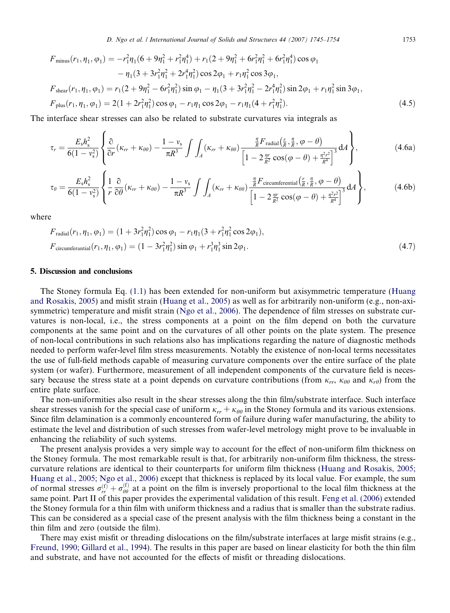$$
F_{\text{minus}}(r_1, \eta_1, \varphi_1) = -r_1^2 \eta_1 (6 + 9\eta_1^2 + r_1^2 \eta_1^4) + r_1 (2 + 9\eta_1^2 + 6r_1^2 \eta_1^2 + 6r_1^2 \eta_1^4) \cos \varphi_1 - \eta_1 (3 + 3r_1^2 \eta_1^2 + 2r_1^4 \eta_1^2) \cos 2\varphi_1 + r_1 \eta_1^2 \cos 3\varphi_1, F_{\text{shear}}(r_1, \eta_1, \varphi_1) = r_1 (2 + 9\eta_1^2 - 6r_1^2 \eta_1^2) \sin \varphi_1 - \eta_1 (3 + 3r_1^2 \eta_1^2 - 2r_1^4 \eta_1^2) \sin 2\varphi_1 + r_1 \eta_1^2 \sin 3\varphi_1, F_{\text{plus}}(r_1, \eta_1, \varphi_1) = 2(1 + 2r_1^2 \eta_1^2) \cos \varphi_1 - r_1 \eta_1 \cos 2\varphi_1 - r_1 \eta_1 (4 + r_1^2 \eta_1^2). \tag{4.5}
$$

The interface shear stresses can also be related to substrate curvatures via integrals as

$$
\tau_r = \frac{E_s h_s^2}{6(1 - v_s^2)} \left\{ \frac{\partial}{\partial r} (\kappa_{rr} + \kappa_{\theta\theta}) - \frac{1 - v_s}{\pi R^3} \int \int_A (\kappa_{rr} + \kappa_{\theta\theta}) \frac{\frac{\eta}{R} F_{\text{radial}}(\frac{r}{R}, \frac{\eta}{R}, \varphi - \theta)}{\left[1 - 2\frac{\eta r}{R^2} \cos(\varphi - \theta) + \frac{\eta^2 r^2}{R^4}\right]^3} dA \right\},\tag{4.6a}
$$

$$
\tau_{\theta} = \frac{E_{s}h_{s}^{2}}{6(1-v_{s}^{2})} \left\{ \frac{1}{r} \frac{\partial}{\partial \theta} (\kappa_{rr} + \kappa_{\theta\theta}) - \frac{1-v_{s}}{\pi R^{3}} \int \int_{A} (\kappa_{rr} + \kappa_{\theta\theta}) \frac{\frac{\eta}{R} F_{\text{circumferential}}(\frac{r}{R}, \frac{\eta}{R}, \varphi - \theta)}{\left[1 - 2\frac{\eta r}{R^{2}} \cos(\varphi - \theta) + \frac{\eta^{2}r^{2}}{R^{4}}\right]^{3}} \, \mathrm{d}A \right\},\tag{4.6b}
$$

where

$$
F_{\text{radial}}(r_1, \eta_1, \varphi_1) = (1 + 3r_1^2 \eta_1^2) \cos \varphi_1 - r_1 \eta_1 (3 + r_1^2 \eta_1^2 \cos 2\varphi_1),
$$
  
\n
$$
F_{\text{circumferantial}}(r_1, \eta_1, \varphi_1) = (1 - 3r_1^2 \eta_1^2) \sin \varphi_1 + r_1^3 \eta_1^3 \sin 2\varphi_1.
$$
\n(4.7)

#### 5. Discussion and conclusions

The Stoney formula Eq. [\(1.1\)](#page-1-0) has been extended for non-uniform but axisymmetric temperature ([Huang](#page-9-0) [and Rosakis, 2005](#page-9-0)) and misfit strain ([Huang et al., 2005](#page-9-0)) as well as for arbitrarily non-uniform (e.g., non-axisymmetric) temperature and misfit strain [\(Ngo et al., 2006](#page-9-0)). The dependence of film stresses on substrate curvatures is non-local, i.e., the stress components at a point on the film depend on both the curvature components at the same point and on the curvatures of all other points on the plate system. The presence of non-local contributions in such relations also has implications regarding the nature of diagnostic methods needed to perform wafer-level film stress measurements. Notably the existence of non-local terms necessitates the use of full-field methods capable of measuring curvature components over the entire surface of the plate system (or wafer). Furthermore, measurement of all independent components of the curvature field is necessary because the stress state at a point depends on curvature contributions (from  $\kappa_{rr}$ ,  $\kappa_{\theta\theta}$  and  $\kappa_{r\theta}$ ) from the entire plate surface.

The non-uniformities also result in the shear stresses along the thin film/substrate interface. Such interface shear stresses vanish for the special case of uniform  $\kappa_{rr} + \kappa_{\theta\theta}$  in the Stoney formula and its various extensions. Since film delamination is a commonly encountered form of failure during wafer manufacturing, the ability to estimate the level and distribution of such stresses from wafer-level metrology might prove to be invaluable in enhancing the reliability of such systems.

The present analysis provides a very simple way to account for the effect of non-uniform film thickness on the Stoney formula. The most remarkable result is that, for arbitrarily non-uniform film thickness, the stresscurvature relations are identical to their counterparts for uniform film thickness ([Huang and Rosakis, 2005;](#page-9-0) [Huang et al., 2005; Ngo et al., 2006](#page-9-0)) except that thickness is replaced by its local value. For example, the sum of normal stresses  $\sigma_{rr}^{(f)} + \sigma_{\theta\theta}^{(f)}$  at a point on the film is inversely proportional to the local film thickness at the same point. Part II of this paper provides the experimental validation of this result. [Feng et al. \(2006\)](#page-9-0) extended the Stoney formula for a thin film with uniform thickness and a radius that is smaller than the substrate radius. This can be considered as a special case of the present analysis with the film thickness being a constant in the thin film and zero (outside the film).

There may exist misfit or threading dislocations on the film/substrate interfaces at large misfit strains (e.g., [Freund, 1990; Gillard et al., 1994\)](#page-9-0). The results in this paper are based on linear elasticity for both the thin film and substrate, and have not accounted for the effects of misfit or threading dislocations.